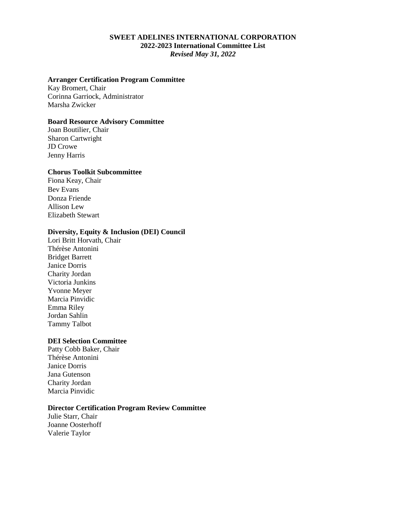## **SWEET ADELINES INTERNATIONAL CORPORATION 2022-2023 International Committee List** *Revised May 31, 2022*

#### **Arranger Certification Program Committee**

Kay Bromert, Chair Corinna Garriock, Administrator Marsha Zwicker

## **Board Resource Advisory Committee**

Joan Boutilier, Chair Sharon Cartwright JD Crowe Jenny Harris

#### **Chorus Toolkit Subcommittee**

Fiona Keay, Chair Bev Evans Donza Friende Allison Lew Elizabeth Stewart

## **Diversity, Equity & Inclusion (DEI) Council**

Lori Britt Horvath, Chair Thérèse Antonini Bridget Barrett Janice Dorris Charity Jordan Victoria Junkins Yvonne Meyer Marcia Pinvidic Emma Riley Jordan Sahlin Tammy Talbot

## **DEI Selection Committee**

Patty Cobb Baker, Chair Thérèse Antonini Janice Dorris Jana Gutenson Charity Jordan Marcia Pinvidic

## **Director Certification Program Review Committee**

Julie Starr, Chair Joanne Oosterhoff Valerie Taylor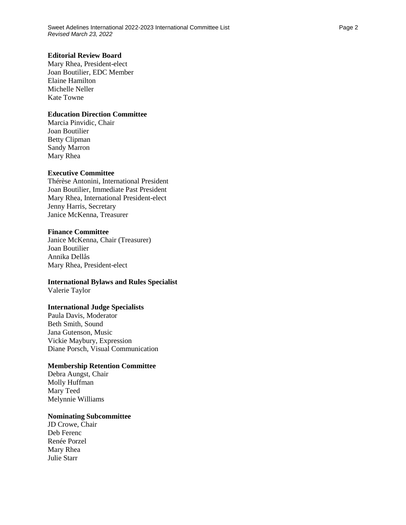### **Editorial Review Board**

Mary Rhea, President-elect Joan Boutilier, EDC Member Elaine Hamilton Michelle Neller Kate Towne

## **Education Direction Committee**

Marcia Pinvidic, Chair Joan Boutilier Betty Clipman Sandy Marron Mary Rhea

## **Executive Committee**

Thérèse Antonini, International President Joan Boutilier, Immediate Past President Mary Rhea, International President-elect Jenny Harris, Secretary Janice McKenna, Treasurer

#### **Finance Committee**

Janice McKenna, Chair (Treasurer) Joan Boutilier Annika Dellås Mary Rhea, President-elect

#### **International Bylaws and Rules Specialist**

Valerie Taylor

#### **International Judge Specialists**

Paula Davis, Moderator Beth Smith, Sound Jana Gutenson, Music Vickie Maybury, Expression Diane Porsch, Visual Communication

## **Membership Retention Committee**

Debra Aungst, Chair Molly Huffman Mary Teed Melynnie Williams

# **Nominating Subcommittee**

JD Crowe, Chair Deb Ferenc Renée Porzel Mary Rhea Julie Starr